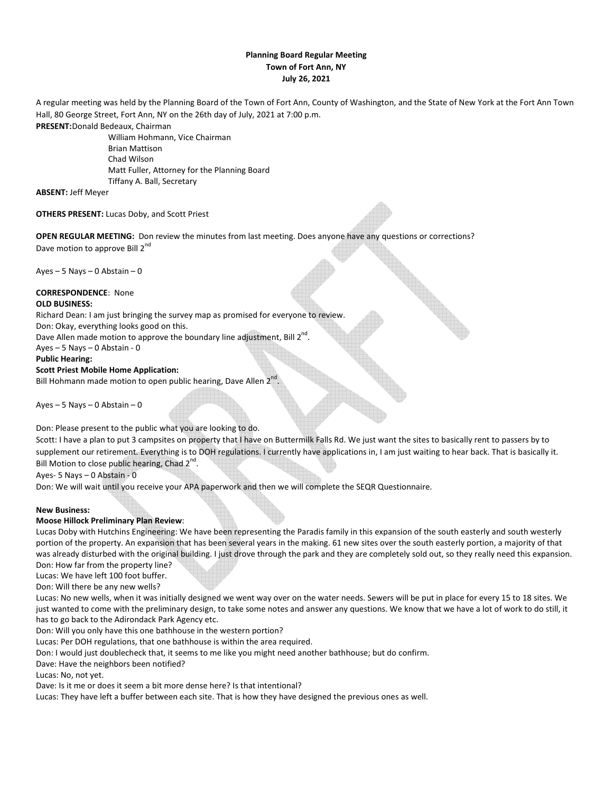## **Planning Board Regular Meeting Town of Fort Ann, NY July 26, 2021**

A regular meeting was held by the Planning Board of the Town of Fort Ann, County of Washington, and the State of New York at the Fort Ann Town Hall, 80 George Street, Fort Ann, NY on the 26th day of July, 2021 at 7:00 p.m.

**PRESENT:**Donald Bedeaux, Chairman

 William Hohmann, Vice Chairman Brian Mattison Chad Wilson Matt Fuller, Attorney for the Planning Board Tiffany A. Ball, Secretary

**ABSENT:** Jeff Meyer

**OTHERS PRESENT:** Lucas Doby, and Scott Priest

**OPEN REGULAR MEETING:** Don review the minutes from last meeting. Does anyone have any questions or corrections? Dave motion to approve Bill 2<sup>nd</sup>

Ayes  $-5$  Nays  $-0$  Abstain  $-0$ 

# **CORRESPONDENCE**: None

## **OLD BUSINESS:**

Richard Dean: I am just bringing the survey map as promised for everyone to review.

Don: Okay, everything looks good on this.

Dave Allen made motion to approve the boundary line adjustment, Bill  $2^{nd}$ .

Ayes – 5 Nays – 0 Abstain - 0

## **Public Hearing:**

## **Scott Priest Mobile Home Application:**

Bill Hohmann made motion to open public hearing, Dave Allen 2<sup>1</sup>

Ayes  $-5$  Nays  $-0$  Abstain  $-0$ 

Don: Please present to the public what you are looking to do.

Scott: I have a plan to put 3 campsites on property that I have on Buttermilk Falls Rd. We just want the sites to basically rent to passers by to supplement our retirement. Everything is to DOH regulations. I currently have applications in, I am just waiting to hear back. That is basically it. Bill Motion to close public hearing, Chad 2<sup>nd</sup>.

.

Ayes- 5 Nays – 0 Abstain - 0

Don: We will wait until you receive your APA paperwork and then we will complete the SEQR Questionnaire.

## **New Business:**

## **Moose Hillock Preliminary Plan Review**:

Lucas Doby with Hutchins Engineering: We have been representing the Paradis family in this expansion of the south easterly and south westerly portion of the property. An expansion that has been several years in the making. 61 new sites over the south easterly portion, a majority of that was already disturbed with the original building. I just drove through the park and they are completely sold out, so they really need this expansion. Don: How far from the property line?

Lucas: We have left 100 foot buffer.

Don: Will there be any new wells?

Lucas: No new wells, when it was initially designed we went way over on the water needs. Sewers will be put in place for every 15 to 18 sites. We just wanted to come with the preliminary design, to take some notes and answer any questions. We know that we have a lot of work to do still, it has to go back to the Adirondack Park Agency etc.

Don: Will you only have this one bathhouse in the western portion?

Lucas: Per DOH regulations, that one bathhouse is within the area required.

Don: I would just doublecheck that, it seems to me like you might need another bathhouse; but do confirm.

Dave: Have the neighbors been notified?

Lucas: No, not yet.

Dave: Is it me or does it seem a bit more dense here? Is that intentional?

Lucas: They have left a buffer between each site. That is how they have designed the previous ones as well.